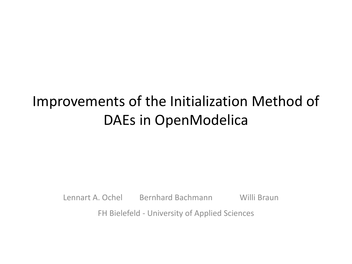## Improvements of the Initialization Method of DAEs in OpenModelica

Lennart A. Ochel Bernhard Bachmann Willi Braun

FH Bielefeld - University of Applied Sciences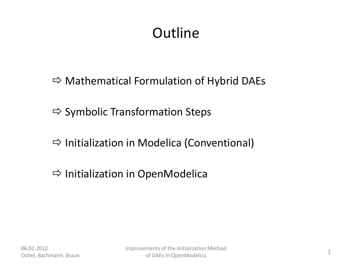## **Outline**

- $\Rightarrow$  Mathematical Formulation of Hybrid DAEs
- $\Rightarrow$  Symbolic Transformation Steps
- $\Rightarrow$  Initialization in Modelica (Conventional)
- $\Rightarrow$  Initialization in OpenModelica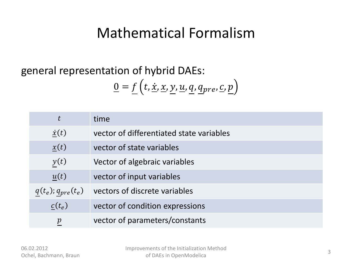#### Mathematical Formalism

#### general representation of hybrid DAEs:

$$
\underline{0} = \underline{f}\left(t, \underline{\dot{x}}, \underline{x}, \underline{y}, \underline{u}, \underline{q}, \underline{q}_{pre}, \underline{c}, \underline{p}\right)
$$

| $t\,$                     | time                                     |
|---------------------------|------------------------------------------|
| $\dot{x}(t)$              | vector of differentiated state variables |
| x(t)                      | vector of state variables                |
| y(t)                      | Vector of algebraic variables            |
| u(t)                      | vector of input variables                |
| $q(t_e)$ ; $q_{pre}(t_e)$ | vectors of discrete variables            |
| $c(t_e)$                  | vector of condition expressions          |
| $\boldsymbol{p}$          | vector of parameters/constants           |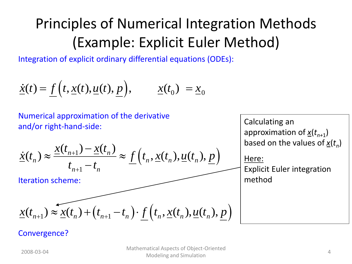# Principles of Numerical Integration Methods (Example: Explicit Euler Method)

Integration of explicit ordinary differential equations (ODEs):

$$
\dot{\underline{x}}(t) = \underline{f}\Big(t, \underline{x}(t), \underline{u}(t), \underline{p}\Big), \qquad \underline{x}(t_0) = \underline{x}_0
$$

Numerical approximation of the derivative and/or right-hand-side:

and/or right-hand-side:  
\n
$$
\dot{\underline{x}}(t_n) \approx \frac{\underline{x}(t_{n+1}) - \underline{x}(t_n)}{t_{n+1} - t_n} \approx \underline{f}\left(t_n, \underline{x}(t_n), \underline{u}(t_n), \underline{p}\right)
$$

Iteration scheme:

$$
\chi(t_{n+1}) \approx \chi(t_n) + \left(t_{n+1} - t_n\right) \cdot \underline{f}\left(t_n, \underline{x}(t_n), \underline{u}(t_n), \underline{p}\right)
$$

Calculating an approximation of *x*(*tn+*<sup>1</sup> ) based on the values of *x*(*t<sup>n</sup>* ) Here: Explicit Euler integration

method

#### Convergence?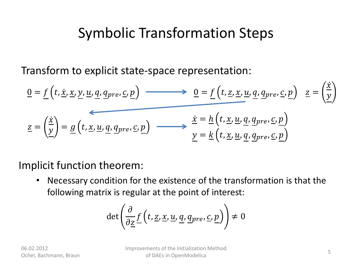### Symbolic Transformation Steps

Transform to explicit state-space representation:

$$
\underline{0} = \underline{f}\left(t, \underline{x}, \underline{x}, \underline{y}, \underline{u}, \underline{q}, \underline{q}_{pre}, \underline{c}, \underline{p}\right) \longrightarrow \underline{0} = \underline{f}\left(t, \underline{z}, \underline{x}, \underline{u}, \underline{q}, \underline{q}_{pre}, \underline{c}, \underline{p}\right) \underline{z} = \left(\frac{\underline{x}}{\underline{y}}\right)
$$
\n
$$
\underline{z} = \left(\frac{\underline{x}}{\underline{y}}\right) = \underline{g}\left(t, \underline{x}, \underline{u}, \underline{q}, \underline{q}_{pre}, \underline{c}, \underline{p}\right) \longrightarrow \frac{\underline{x} = \underline{h}\left(t, \underline{x}, \underline{u}, \underline{q}, \underline{q}_{pre}, \underline{c}, \underline{p}\right)}{\underline{y} = \underline{k}\left(t, \underline{x}, \underline{u}, \underline{q}, \underline{q}_{pre}, \underline{c}, \underline{p}\right)}
$$

Implicit function theorem:

• Necessary condition for the existence of the transformation is that the following matrix is regular at the point of interest:

$$
\det\left(\frac{\partial}{\partial \underline{z}} f\left(t, \underline{z}, \underline{x}, \underline{u}, \underline{q}, \underline{q}_{pre}, \underline{c}, \underline{p}\right)\right) \neq 0
$$

 $\lambda$  .  $\lambda$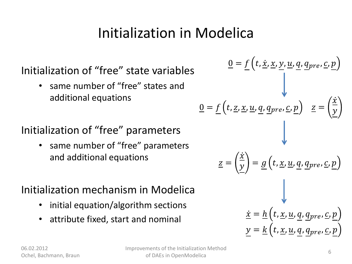## Initialization in Modelica

#### Initialization of "free" state variables

• same number of "free" states and additional equations

#### Initialization of "free" parameters

• same number of "free" parameters and additional equations

#### Initialization mechanism in Modelica

- initial equation/algorithm sections
- attribute fixed, start and nominal

$$
\underline{0} = \underline{f}\left(t, \underline{x}, \underline{x}, \underline{y}, \underline{u}, \underline{q}, \underline{q}_{pre}, \underline{c}, \underline{p}\right)
$$
\n
$$
\underline{0} = \underline{f}\left(t, \underline{z}, \underline{x}, \underline{u}, \underline{q}, \underline{q}_{pre}, \underline{c}, \underline{p}\right) \quad \underline{z} = \left(\frac{\underline{x}}{\underline{y}}\right)
$$
\n
$$
\underline{z} = \left(\frac{\underline{x}}{\underline{y}}\right) = \underline{g}\left(t, \underline{x}, \underline{u}, \underline{q}, \underline{q}_{pre}, \underline{c}, \underline{p}\right)
$$
\n
$$
\underline{\dot{x}} = \underline{h}\left(t, \underline{x}, \underline{u}, \underline{q}, \underline{q}_{pre}, \underline{c}, \underline{p}\right)
$$
\n
$$
\underline{y} = \underline{k}\left(t, \underline{x}, \underline{u}, \underline{q}, \underline{q}_{pre}, \underline{c}, \underline{p}\right)
$$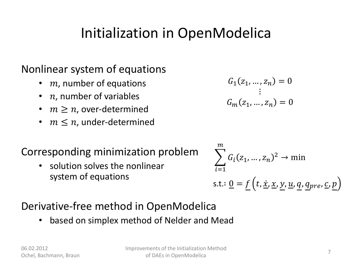### Initialization in OpenModelica

#### Nonlinear system of equations

- $m$ , number of equations
- $n$ , number of variables
- $m \geq n$ , over-determined
- $m \leq n$ , under-determined

#### Corresponding minimization problem

• solution solves the nonlinear system of equations

$$
G_1(z_1, \ldots, z_n) = 0
$$
  

$$
\vdots
$$
  

$$
G_m(z_1, \ldots, z_n) = 0
$$

$$
\sum_{i=1}^{m} G_i(z_1, ..., z_n)^2 \to \min
$$
  
s.t.: 
$$
\underline{0} = \underline{f}(t, \underline{x}, \underline{x}, \underline{y}, \underline{u}, \underline{q}, \underline{q}_{pre}, \underline{c}, \underline{p})
$$

#### Derivative-free method in OpenModelica

• based on simplex method of Nelder and Mead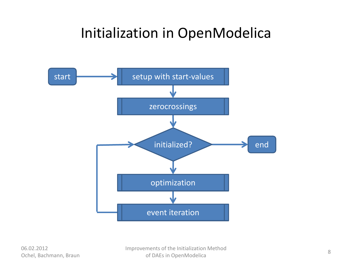#### Initialization in OpenModelica



06.02.2012 Ochel, Bachmann, Braun Improvements of the Initialization Method of DAEs in OpenModelica 8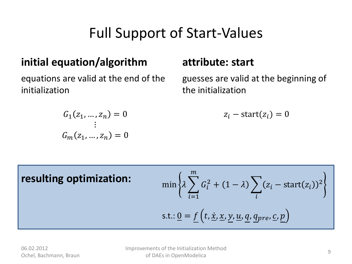## Full Support of Start-Values

#### **initial equation/algorithm**

equations are valid at the end of the initialization

#### **attribute: start**

guesses are valid at the beginning of the initialization

$$
z_i - \text{start}(z_i) = 0
$$

$$
G_1(z_1, ..., z_n) = 0
$$
  
 
$$
\vdots
$$
  
 
$$
G_m(z_1, ..., z_n) = 0
$$

 $\min \{\lambda \} G_i^2 + (1 - \lambda) \sum (z_i - \text{start}(z_i))^2$ i  $\overline{m}$  $i=1$ s.t.: <u>0</u> =  $f(t, \underline{\dot{x}}, \underline{x}, y, \underline{u}, q, q_{pre}, \underline{c}, p)$ **resulting optimization:**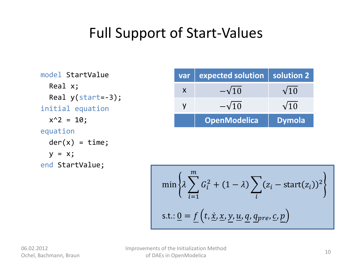### Full Support of Start-Values

model StartValue Real x; Real y(start=-3); initial equation  $x^2 = 10$ ; equation  $der(x) = time;$  $y = x;$ end StartValue;

| $\overline{var}$ | expected solution   solution 2 |               |
|------------------|--------------------------------|---------------|
| X                | $-\sqrt{10}$                   | $\sqrt{10}$   |
|                  | $-\sqrt{10}$                   | $\sqrt{10}$   |
|                  | <b>OpenModelica</b>            | <b>Dymola</b> |

$$
\min\left\{\lambda \sum_{i=1}^{m} G_i^2 + (1 - \lambda) \sum_{i} (z_i - \text{start}(z_i))^2\right\}
$$
  
s.t.: 
$$
\underline{0} = \underline{f}\left(t, \underline{x}, \underline{x}, \underline{y}, \underline{u}, \underline{q}, \underline{q}_{pre}, \underline{c}, \underline{p}\right)
$$

Improvements of the Initialization Method of DAEs in OpenModelica 10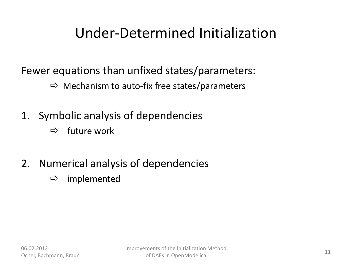### Under-Determined Initialization

Fewer equations than unfixed states/parameters:

- $\Rightarrow$  Mechanism to auto-fix free states/parameters
- 1. Symbolic analysis of dependencies
	- $\Rightarrow$  future work
- 2. Numerical analysis of dependencies
	- $\Rightarrow$  implemented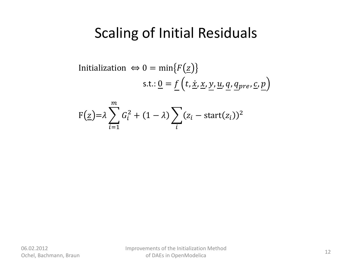Initialization 
$$
\Leftrightarrow 0 = \min\{F(\underline{z})\}
$$

\ns.t.:  $\underline{0} = \underline{f}(t, \underline{x}, \underline{x}, \underline{y}, \underline{u}, \underline{q}, \underline{q}_{pre}, \underline{c}, \underline{p})$ 

$$
F(\underline{z}) = \lambda \sum_{i=1}^{m} G_i^2 + (1 - \lambda) \sum_i (z_i - \text{start}(z_i))^2
$$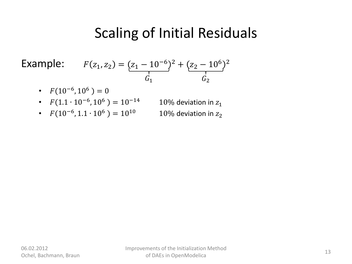Example:  $F(z_1, z_2)$ 

$$
(z_2) = (z_1 - 10^{-6})^2 + (z_2 - 10^6)^2
$$
  

$$
G_1 \qquad G_2
$$

- $F(10^{-6}, 10^6) = 0$
- $F(1.1 \cdot 10^{-6}, 10^{6}) = 10^{-14}$
- $F(10^{-6}, 1.1 \cdot 10^{6}) = 10^{10}$  10% deviation in  $z_2$
- 10% deviation in  $z_1$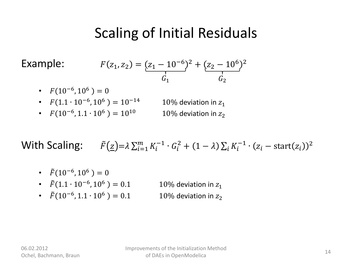Example: 1

$$
F(z_1, z_2) = \underbrace{(z_1 - 10^{-6})^2 + (z_2 - 10^6)^2}_{G_1}
$$

- $F(10^{-6}, 10^6) = 0$
- $F(1.1 \cdot 10^{-6}, 10^{6}) = 10^{-14}$ 10% deviation in  $z_1$
- $F(10^{-6}, 1.1 \cdot 10^{6}) = 10^{10}$  10% deviation in  $z_2$

With Scaling:  $\qquad \tilde{F}(\underline{z}) = \lambda \sum_{i=1}^{m} K_i^{-1} \cdot G_i^2 + (1 - \lambda) \sum_i K_i^{-1} \cdot (z_i - \text{start}(z_i))^2$ i  $\overline{m}$  $i=1$ 

- $\tilde{F}(10^{-6}, 10^{6}) = 0$
- $\tilde{F}(1.1 \cdot 10^{-6}, 10^{6}) = 0.1$ 10% deviation in  $z_1$
- $\tilde{F}(10^{-6}, 1.1 \cdot 10^{6}) = 0.1$  10% deviation in  $z_2$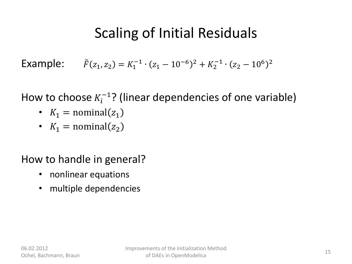Example:  $\tilde{F}(z_1, z_2) = K_1^{-1} \cdot (z_1 - 10^{-6})^2 + K_2^{-1} \cdot (z_2 - 10^6)^2$ 

How to choose  $K_i^{-1}$ ? (linear dependencies of one variable)

- $K_1$  = nominal( $z_1$ )
- $K_1$  = nominal( $z_2$ )

#### How to handle in general?

- nonlinear equations
- multiple dependencies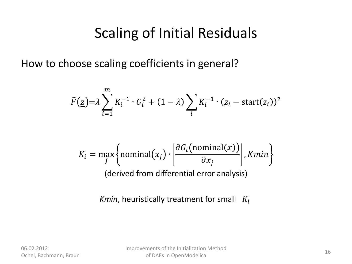How to choose scaling coefficients in general?

$$
\tilde{F}(\underline{z}) = \lambda \sum_{i=1}^{m} K_i^{-1} \cdot G_i^2 + (1 - \lambda) \sum_i K_i^{-1} \cdot (z_i - \text{start}(z_i))^2
$$

$$
K_i = \max_j \left\{ \text{nominal}(x_j) \cdot \left| \frac{\partial G_i \left( \text{nominal}(x) \right)}{\partial x_j} \right|, Kmin \right\}
$$
\n(derived from differential error analysis)

*Kmin*, heuristically treatment for small  $K_i$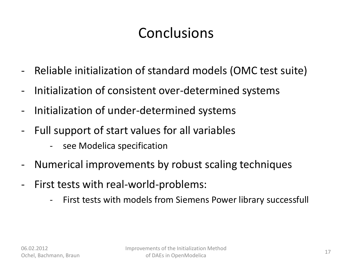## **Conclusions**

- Reliable initialization of standard models (OMC test suite)
- Initialization of consistent over-determined systems
- Initialization of under-determined systems
- Full support of start values for all variables
	- see Modelica specification
- Numerical improvements by robust scaling techniques
- First tests with real-world-problems:
	- First tests with models from Siemens Power library successfull